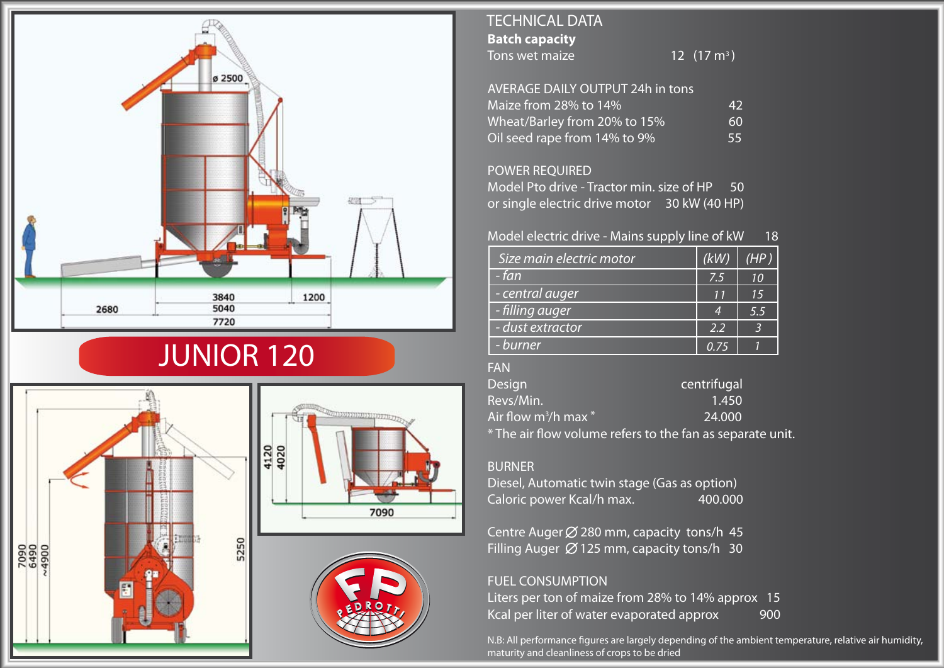

# JUNIOR 120





# **Batch capacity** Tons wet maize TECHNICAL DATA

12  $(17 \text{ m}^3)$ 

| AVERAGE DAILY OUTPUT 24h in tons |    |
|----------------------------------|----|
| Maize from 28% to 14%            | 42 |
| Wheat/Barley from 20% to 15%     | 60 |
| Oil seed rape from $14\%$ to 9%  | 55 |

#### POWER REQUIRED

Model Pto drive - Tractor min. size of HP 50 or single electric drive motor 30 kW (40 HP)

## Model electric drive - Mains supply line of kW 18

| Size main electric motor | (kW) | (HP) |
|--------------------------|------|------|
| - fan                    | 7.5  | 10   |
| - central auger          | 11   | 15   |
| - filling auger          | 4    | 5.5  |
| - dust extractor         | 2.2  |      |
| - burner                 | 0.75 |      |

## FAN

| <b>Design</b>                       | centrifugal                                               |
|-------------------------------------|-----------------------------------------------------------|
| Revs/Min.                           | 1.450                                                     |
| Air flow m <sup>3</sup> /h max $^*$ | 24,000                                                    |
|                                     | * The air flow volume refers to the fan as separate unit. |

#### BURNER

Diesel, Automatic twin stage (Gas as option) Caloric power Kcal/h max. 400.000

Centre Auger  $\emptyset$  280 mm, capacity tons/h 45 Filling Auger  $\varnothing$  125 mm, capacity tons/h 30

## FUEL CONSUMPTION

Liters per ton of maize from 28% to 14% approx 15 Kcal per liter of water evaporated approx 900

N.B: All performance figures are largely depending of the ambient temperature, relative air humidity, maturity and cleanliness of crops to be dried